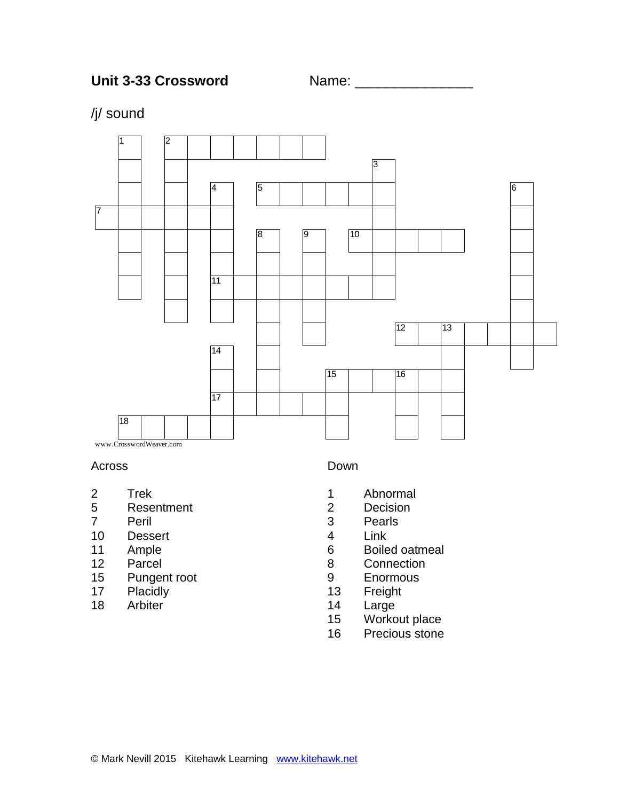

# /j/ sound



### Across

- 2 Trek<br>5 Rese
- **Resentment**
- Peril
- Dessert
- Ample
- Parcel
- Pungent root
- Placidly
- Arbiter

#### Down

- Abnormal
- Decision
- Pearls
- Link
- Boiled oatmeal
- Connection
- Enormous
- Freight
- Large
- Workout place
- Precious stone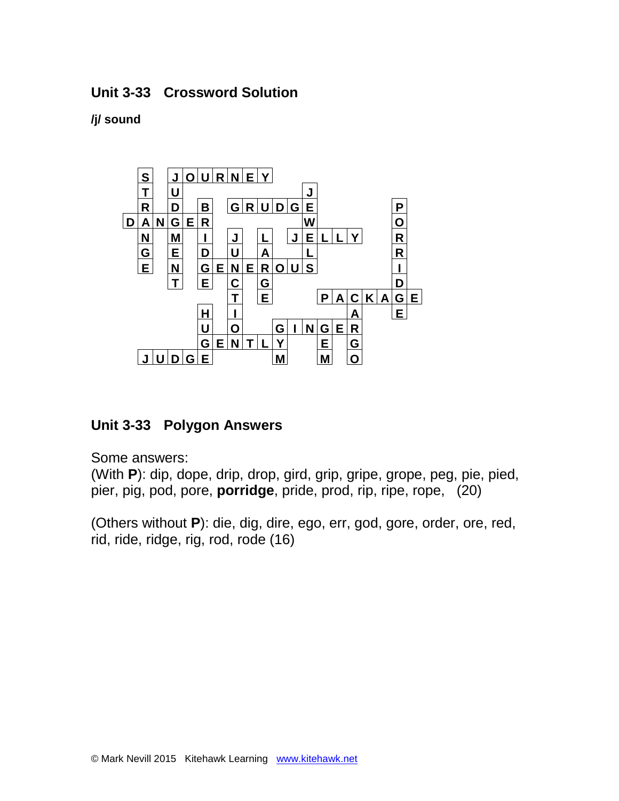### **Unit 3-33 Crossword Solution**

### **/j/ sound**



## **Unit 3-33 Polygon Answers**

Some answers:

(With **P**): dip, dope, drip, drop, gird, grip, gripe, grope, peg, pie, pied, pier, pig, pod, pore, **porridge**, pride, prod, rip, ripe, rope, (20)

(Others without **P**): die, dig, dire, ego, err, god, gore, order, ore, red, rid, ride, ridge, rig, rod, rode (16)